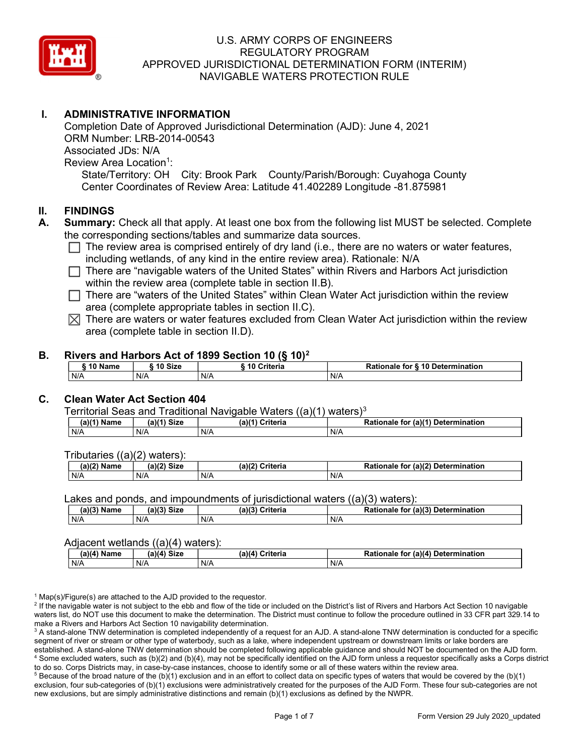

## I. ADMINISTRATIVE INFORMATION

Completion Date of Approved Jurisdictional Determination (AJD): June 4, 2021 ORM Number: LRB-2014-00543 Associated JDs: N/A Review Area Location<sup>1</sup>: State/Territory: OH City: Brook Park County/Parish/Borough: Cuyahoga County Center Coordinates of Review Area: Latitude 41.402289 Longitude -81.875981

#### II. FINDINGS

- A. Summary: Check all that apply. At least one box from the following list MUST be selected. Complete the corresponding sections/tables and summarize data sources.
	- $\Box$  The review area is comprised entirely of dry land (i.e., there are no waters or water features, including wetlands, of any kind in the entire review area). Rationale: N/A
	- $\Box$  There are "navigable waters of the United States" within Rivers and Harbors Act jurisdiction within the review area (complete table in section II.B).
	- $\Box$  There are "waters of the United States" within Clean Water Act jurisdiction within the review area (complete appropriate tables in section II.C).
	- $\boxtimes$  There are waters or water features excluded from Clean Water Act jurisdiction within the review area (complete table in section II.D).

#### B. Rivers and Harbors Act of 1899 Section 10 (§ 10)<sup>2</sup>

| \$10 Name | ີ <sup>1</sup> 0 Size | ---<br>10 Criteria | Rationale for § 10 Determination |
|-----------|-----------------------|--------------------|----------------------------------|
| N/A       | N/A                   | N/A                | N/A                              |

## C. Clean Water Act Section 404

#### Territorial Seas and Traditional Navigable Waters  $((a)(1)$  waters)<sup>3</sup>

| Name<br>(a) | <b>Size</b><br>(a)(4) | $(a)$ $(4)$<br>Criteria | $\mathsf{u}$ r (a)( $\mathsf{f}$ ).<br>Rationale<br><b>Determination</b><br>tor |
|-------------|-----------------------|-------------------------|---------------------------------------------------------------------------------|
| N/A         | N/A                   | N/A                     | N/A                                                                             |

Tributaries ((a)(2) waters):

| $1 - 1101$<br>. .<br>Namr<br>ne | $-10$<br>$\sim$ Cion<br><b>DIZL</b> | <b>Peiteein</b><br>(a)(2)<br>ilerid | $(610^{\circ})$<br><b>Determinatior</b> ،<br>tor<br>naie<br>. |
|---------------------------------|-------------------------------------|-------------------------------------|---------------------------------------------------------------|
| N/A                             | N/A                                 | N/A                                 | N/A                                                           |

Lakes and ponds, and impoundments of jurisdictional waters ((a)(3) waters):

| (a)(3) Name | (a)(3)<br>Siz⊾ | (a)(2) | <b>Criteria</b> | <b>Rationale</b><br>tor | $(2)$ (a) $(3)$<br>Determination |
|-------------|----------------|--------|-----------------|-------------------------|----------------------------------|
| N/A         | N/A            | N/f    |                 | N/A                     |                                  |

#### Adjacent wetlands ((a)(4) waters):

|                              | .<br>. |                 |                                    |  |  |  |  |  |  |
|------------------------------|--------|-----------------|------------------------------------|--|--|--|--|--|--|
| (a)(4) Size<br>$(a)(4)$ Name |        | (a)(4) Criteria | Rationale for (a)(4) Determination |  |  |  |  |  |  |
| N/A                          | N/A    | N/A             | N/A                                |  |  |  |  |  |  |

<sup>1</sup> Map(s)/Figure(s) are attached to the AJD provided to the requestor.

<sup>2</sup> If the navigable water is not subject to the ebb and flow of the tide or included on the District's list of Rivers and Harbors Act Section 10 navigable waters list, do NOT use this document to make the determination. The District must continue to follow the procedure outlined in 33 CFR part 329.14 to make a Rivers and Harbors Act Section 10 navigability determination.

 $^3$  A stand-alone TNW determination is completed independently of a request for an AJD. A stand-alone TNW determination is conducted for a specific segment of river or stream or other type of waterbody, such as a lake, where independent upstream or downstream limits or lake borders are established. A stand-alone TNW determination should be completed following applicable guidance and should NOT be documented on the AJD form. 4 Some excluded waters, such as (b)(2) and (b)(4), may not be specifically identified on the AJD form unless a requestor specifically asks a Corps district to do so. Corps Districts may, in case-by-case instances, choose to identify some or all of these waters within the review area.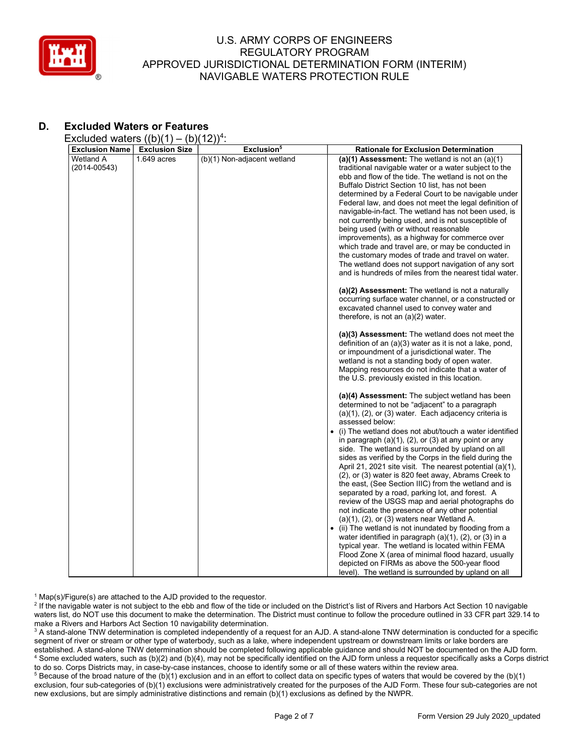

# D. Excluded Waters or Features

Excluded waters  $((b)(1) - (b)(12))^4$ :

|                                                        |                                        | Exclusion <sup>5</sup>      |                                                                                                                                                                                                                                                                                                                                                                                                                                                                                                                                                                                                                                                                                                                                                                                                                                                                                                                                                                                                                                                                                                                                                                                                                                                                                                                                                                                                                                                                                                                                                                                                                                                                                                                                                                                                                                                                                                                                                                                                                                                                                                                                                                                                                                                                                                                  |
|--------------------------------------------------------|----------------------------------------|-----------------------------|------------------------------------------------------------------------------------------------------------------------------------------------------------------------------------------------------------------------------------------------------------------------------------------------------------------------------------------------------------------------------------------------------------------------------------------------------------------------------------------------------------------------------------------------------------------------------------------------------------------------------------------------------------------------------------------------------------------------------------------------------------------------------------------------------------------------------------------------------------------------------------------------------------------------------------------------------------------------------------------------------------------------------------------------------------------------------------------------------------------------------------------------------------------------------------------------------------------------------------------------------------------------------------------------------------------------------------------------------------------------------------------------------------------------------------------------------------------------------------------------------------------------------------------------------------------------------------------------------------------------------------------------------------------------------------------------------------------------------------------------------------------------------------------------------------------------------------------------------------------------------------------------------------------------------------------------------------------------------------------------------------------------------------------------------------------------------------------------------------------------------------------------------------------------------------------------------------------------------------------------------------------------------------------------------------------|
| <b>Exclusion Name</b><br>Wetland A<br>$(2014 - 00543)$ | <b>Exclusion Size</b><br>$1.649$ acres | (b)(1) Non-adjacent wetland | <b>Rationale for Exclusion Determination</b><br>(a)(1) Assessment: The wetland is not an $(a)(1)$<br>traditional navigable water or a water subject to the<br>ebb and flow of the tide. The wetland is not on the<br>Buffalo District Section 10 list, has not been<br>determined by a Federal Court to be navigable under<br>Federal law, and does not meet the legal definition of<br>navigable-in-fact. The wetland has not been used, is<br>not currently being used, and is not susceptible of<br>being used (with or without reasonable<br>improvements), as a highway for commerce over<br>which trade and travel are, or may be conducted in<br>the customary modes of trade and travel on water.<br>The wetland does not support navigation of any sort<br>and is hundreds of miles from the nearest tidal water.<br>(a)(2) Assessment: The wetland is not a naturally<br>occurring surface water channel, or a constructed or<br>excavated channel used to convey water and<br>therefore, is not an $(a)(2)$ water.<br>(a)(3) Assessment: The wetland does not meet the<br>definition of an $(a)(3)$ water as it is not a lake, pond,<br>or impoundment of a jurisdictional water. The<br>wetland is not a standing body of open water.<br>Mapping resources do not indicate that a water of<br>the U.S. previously existed in this location.<br>(a)(4) Assessment: The subject wetland has been<br>determined to not be "adjacent" to a paragraph<br>$(a)(1)$ , $(2)$ , or $(3)$ water. Each adjacency criteria is<br>assessed below:<br>(i) The wetland does not abut/touch a water identified<br>in paragraph $(a)(1)$ , $(2)$ , or $(3)$ at any point or any<br>side. The wetland is surrounded by upland on all<br>sides as verified by the Corps in the field during the<br>April 21, 2021 site visit. The nearest potential (a)(1),<br>(2), or (3) water is 820 feet away, Abrams Creek to<br>the east, (See Section IIIC) from the wetland and is<br>separated by a road, parking lot, and forest. A<br>review of the USGS map and aerial photographs do<br>not indicate the presence of any other potential<br>$(a)(1)$ , $(2)$ , or $(3)$ waters near Wetland A.<br>• (ii) The wetland is not inundated by flooding from a<br>water identified in paragraph $(a)(1)$ , $(2)$ , or $(3)$ in a |
|                                                        |                                        |                             | typical year. The wetland is located within FEMA<br>Flood Zone X (area of minimal flood hazard, usually                                                                                                                                                                                                                                                                                                                                                                                                                                                                                                                                                                                                                                                                                                                                                                                                                                                                                                                                                                                                                                                                                                                                                                                                                                                                                                                                                                                                                                                                                                                                                                                                                                                                                                                                                                                                                                                                                                                                                                                                                                                                                                                                                                                                          |
|                                                        |                                        |                             | depicted on FIRMs as above the 500-year flood<br>level). The wetland is surrounded by upland on all                                                                                                                                                                                                                                                                                                                                                                                                                                                                                                                                                                                                                                                                                                                                                                                                                                                                                                                                                                                                                                                                                                                                                                                                                                                                                                                                                                                                                                                                                                                                                                                                                                                                                                                                                                                                                                                                                                                                                                                                                                                                                                                                                                                                              |

<sup>1</sup> Map(s)/Figure(s) are attached to the AJD provided to the requestor.

<sup>2</sup> If the navigable water is not subject to the ebb and flow of the tide or included on the District's list of Rivers and Harbors Act Section 10 navigable waters list, do NOT use this document to make the determination. The District must continue to follow the procedure outlined in 33 CFR part 329.14 to make a Rivers and Harbors Act Section 10 navigability determination.

 $^3$  A stand-alone TNW determination is completed independently of a request for an AJD. A stand-alone TNW determination is conducted for a specific segment of river or stream or other type of waterbody, such as a lake, where independent upstream or downstream limits or lake borders are established. A stand-alone TNW determination should be completed following applicable guidance and should NOT be documented on the AJD form. 4 Some excluded waters, such as (b)(2) and (b)(4), may not be specifically identified on the AJD form unless a requestor specifically asks a Corps district to do so. Corps Districts may, in case-by-case instances, choose to identify some or all of these waters within the review area.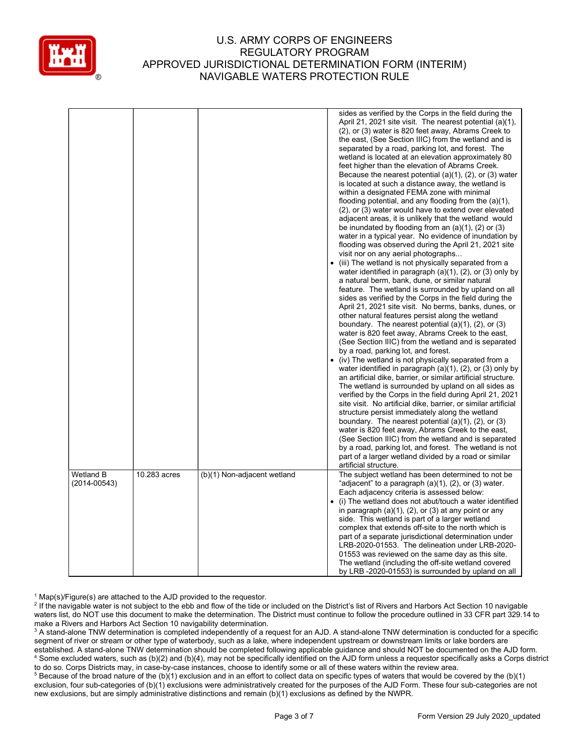

|                  |              |                             | sides as verified by the Corps in the field during the<br>April 21, 2021 site visit. The nearest potential (a)(1),<br>(2), or (3) water is 820 feet away, Abrams Creek to<br>the east, (See Section IIIC) from the wetland and is<br>separated by a road, parking lot, and forest. The<br>wetland is located at an elevation approximately 80<br>feet higher than the elevation of Abrams Creek.<br>Because the nearest potential $(a)(1)$ , $(2)$ , or $(3)$ water<br>is located at such a distance away, the wetland is<br>within a designated FEMA zone with minimal<br>flooding potential, and any flooding from the (a)(1),<br>(2), or (3) water would have to extend over elevated<br>adjacent areas, it is unlikely that the wetland would<br>be inundated by flooding from an $(a)(1)$ , $(2)$ or $(3)$<br>water in a typical year. No evidence of inundation by<br>flooding was observed during the April 21, 2021 site<br>visit nor on any aerial photographs<br>(iii) The wetland is not physically separated from a<br>water identified in paragraph $(a)(1)$ , $(2)$ , or $(3)$ only by<br>a natural berm, bank, dune, or similar natural<br>feature. The wetland is surrounded by upland on all<br>sides as verified by the Corps in the field during the<br>April 21, 2021 site visit. No berms, banks, dunes, or<br>other natural features persist along the wetland<br>boundary. The nearest potential $(a)(1)$ , $(2)$ , or $(3)$<br>water is 820 feet away, Abrams Creek to the east,<br>(See Section IIIC) from the wetland and is separated<br>by a road, parking lot, and forest.<br>• (iv) The wetland is not physically separated from a<br>water identified in paragraph $(a)(1)$ , $(2)$ , or $(3)$ only by<br>an artificial dike, barrier, or similar artificial structure.<br>The wetland is surrounded by upland on all sides as<br>verified by the Corps in the field during April 21, 2021<br>site visit. No artificial dike, barrier, or similar artificial<br>structure persist immediately along the wetland<br>boundary. The nearest potential $(a)(1)$ , $(2)$ , or $(3)$<br>water is 820 feet away, Abrams Creek to the east,<br>(See Section IIIC) from the wetland and is separated<br>by a road, parking lot, and forest. The wetland is not<br>part of a larger wetland divided by a road or similar<br>artificial structure. |
|------------------|--------------|-----------------------------|------------------------------------------------------------------------------------------------------------------------------------------------------------------------------------------------------------------------------------------------------------------------------------------------------------------------------------------------------------------------------------------------------------------------------------------------------------------------------------------------------------------------------------------------------------------------------------------------------------------------------------------------------------------------------------------------------------------------------------------------------------------------------------------------------------------------------------------------------------------------------------------------------------------------------------------------------------------------------------------------------------------------------------------------------------------------------------------------------------------------------------------------------------------------------------------------------------------------------------------------------------------------------------------------------------------------------------------------------------------------------------------------------------------------------------------------------------------------------------------------------------------------------------------------------------------------------------------------------------------------------------------------------------------------------------------------------------------------------------------------------------------------------------------------------------------------------------------------------------------------------------------------------------------------------------------------------------------------------------------------------------------------------------------------------------------------------------------------------------------------------------------------------------------------------------------------------------------------------------------------------------------------------------------------------------------------------------------------------------------------|
| <b>Wetland B</b> | 10.283 acres | (b)(1) Non-adjacent wetland | The subject wetland has been determined to not be                                                                                                                                                                                                                                                                                                                                                                                                                                                                                                                                                                                                                                                                                                                                                                                                                                                                                                                                                                                                                                                                                                                                                                                                                                                                                                                                                                                                                                                                                                                                                                                                                                                                                                                                                                                                                                                                                                                                                                                                                                                                                                                                                                                                                                                                                                                      |
| $(2014 - 00543)$ |              |                             | "adjacent" to a paragraph (a)(1), (2), or (3) water.<br>Each adjacency criteria is assessed below:<br>(i) The wetland does not abut/touch a water identified<br>in paragraph $(a)(1)$ , $(2)$ , or $(3)$ at any point or any<br>side. This wetland is part of a larger wetland<br>complex that extends off-site to the north which is<br>part of a separate jurisdictional determination under<br>LRB-2020-01553. The delineation under LRB-2020-<br>01553 was reviewed on the same day as this site.                                                                                                                                                                                                                                                                                                                                                                                                                                                                                                                                                                                                                                                                                                                                                                                                                                                                                                                                                                                                                                                                                                                                                                                                                                                                                                                                                                                                                                                                                                                                                                                                                                                                                                                                                                                                                                                                  |
|                  |              |                             | The wetland (including the off-site wetland covered<br>by LRB -2020-01553) is surrounded by upland on all                                                                                                                                                                                                                                                                                                                                                                                                                                                                                                                                                                                                                                                                                                                                                                                                                                                                                                                                                                                                                                                                                                                                                                                                                                                                                                                                                                                                                                                                                                                                                                                                                                                                                                                                                                                                                                                                                                                                                                                                                                                                                                                                                                                                                                                              |

<sup>1</sup> Map(s)/Figure(s) are attached to the AJD provided to the requestor.

<sup>2</sup> If the navigable water is not subject to the ebb and flow of the tide or included on the District's list of Rivers and Harbors Act Section 10 navigable waters list, do NOT use this document to make the determination. The District must continue to follow the procedure outlined in 33 CFR part 329.14 to make a Rivers and Harbors Act Section 10 navigability determination.

 $^3$  A stand-alone TNW determination is completed independently of a request for an AJD. A stand-alone TNW determination is conducted for a specific segment of river or stream or other type of waterbody, such as a lake, where independent upstream or downstream limits or lake borders are established. A stand-alone TNW determination should be completed following applicable guidance and should NOT be documented on the AJD form. 4 Some excluded waters, such as (b)(2) and (b)(4), may not be specifically identified on the AJD form unless a requestor specifically asks a Corps district to do so. Corps Districts may, in case-by-case instances, choose to identify some or all of these waters within the review area.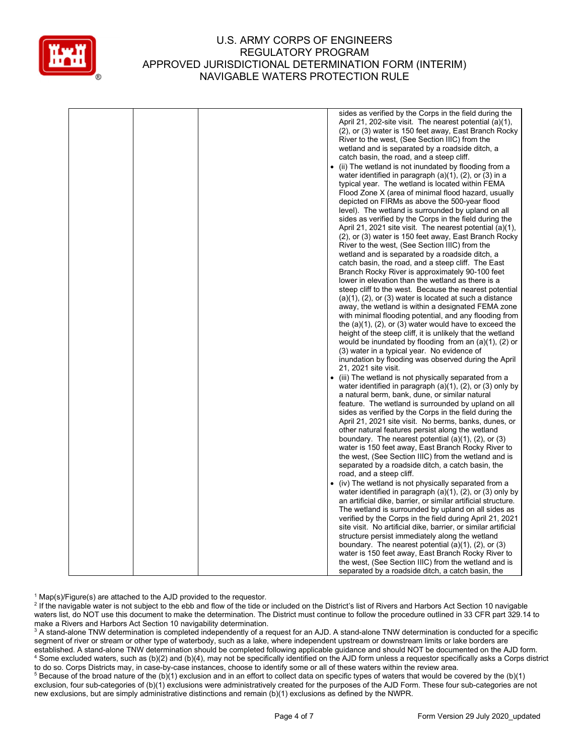

|  |           | sides as verified by the Corps in the field during the            |
|--|-----------|-------------------------------------------------------------------|
|  |           | April 21, 202-site visit. The nearest potential (a)(1),           |
|  |           | (2), or (3) water is 150 feet away, East Branch Rocky             |
|  |           | River to the west, (See Section IIIC) from the                    |
|  |           | wetland and is separated by a roadside ditch, a                   |
|  |           | catch basin, the road, and a steep cliff.                         |
|  | $\bullet$ | (ii) The wetland is not inundated by flooding from a              |
|  |           | water identified in paragraph (a)(1), (2), or (3) in a            |
|  |           | typical year. The wetland is located within FEMA                  |
|  |           | Flood Zone X (area of minimal flood hazard, usually               |
|  |           | depicted on FIRMs as above the 500-year flood                     |
|  |           | level). The wetland is surrounded by upland on all                |
|  |           | sides as verified by the Corps in the field during the            |
|  |           |                                                                   |
|  |           | April 21, 2021 site visit. The nearest potential (a)(1),          |
|  |           | (2), or (3) water is 150 feet away, East Branch Rocky             |
|  |           | River to the west, (See Section IIIC) from the                    |
|  |           | wetland and is separated by a roadside ditch, a                   |
|  |           | catch basin, the road, and a steep cliff. The East                |
|  |           | Branch Rocky River is approximately 90-100 feet                   |
|  |           | lower in elevation than the wetland as there is a                 |
|  |           | steep cliff to the west. Because the nearest potential            |
|  |           | (a)(1), (2), or (3) water is located at such a distance           |
|  |           | away, the wetland is within a designated FEMA zone                |
|  |           | with minimal flooding potential, and any flooding from            |
|  |           | the $(a)(1)$ , $(2)$ , or $(3)$ water would have to exceed the    |
|  |           | height of the steep cliff, it is unlikely that the wetland        |
|  |           | would be inundated by flooding from an $(a)(1)$ , $(2)$ or        |
|  |           | (3) water in a typical year. No evidence of                       |
|  |           | inundation by flooding was observed during the April              |
|  |           | 21, 2021 site visit.                                              |
|  |           | • (iii) The wetland is not physically separated from a            |
|  |           | water identified in paragraph $(a)(1)$ , $(2)$ , or $(3)$ only by |
|  |           | a natural berm, bank, dune, or similar natural                    |
|  |           | feature. The wetland is surrounded by upland on all               |
|  |           | sides as verified by the Corps in the field during the            |
|  |           | April 21, 2021 site visit. No berms, banks, dunes, or             |
|  |           | other natural features persist along the wetland                  |
|  |           | boundary. The nearest potential $(a)(1)$ , $(2)$ , or $(3)$       |
|  |           | water is 150 feet away, East Branch Rocky River to                |
|  |           | the west, (See Section IIIC) from the wetland and is              |
|  |           | separated by a roadside ditch, a catch basin, the                 |
|  |           | road, and a steep cliff.                                          |
|  |           | • (iv) The wetland is not physically separated from a             |
|  |           | water identified in paragraph $(a)(1)$ , $(2)$ , or $(3)$ only by |
|  |           | an artificial dike, barrier, or similar artificial structure.     |
|  |           | The wetland is surrounded by upland on all sides as               |
|  |           | verified by the Corps in the field during April 21, 2021          |
|  |           | site visit. No artificial dike, barrier, or similar artificial    |
|  |           | structure persist immediately along the wetland                   |
|  |           | boundary. The nearest potential $(a)(1)$ , $(2)$ , or $(3)$       |
|  |           | water is 150 feet away, East Branch Rocky River to                |
|  |           | the west, (See Section IIIC) from the wetland and is              |
|  |           | separated by a roadside ditch, a catch basin, the                 |
|  |           |                                                                   |

<sup>1</sup> Map(s)/Figure(s) are attached to the AJD provided to the requestor.

<sup>2</sup> If the navigable water is not subject to the ebb and flow of the tide or included on the District's list of Rivers and Harbors Act Section 10 navigable waters list, do NOT use this document to make the determination. The District must continue to follow the procedure outlined in 33 CFR part 329.14 to make a Rivers and Harbors Act Section 10 navigability determination.

 $^3$  A stand-alone TNW determination is completed independently of a request for an AJD. A stand-alone TNW determination is conducted for a specific segment of river or stream or other type of waterbody, such as a lake, where independent upstream or downstream limits or lake borders are established. A stand-alone TNW determination should be completed following applicable guidance and should NOT be documented on the AJD form. 4 Some excluded waters, such as (b)(2) and (b)(4), may not be specifically identified on the AJD form unless a requestor specifically asks a Corps district to do so. Corps Districts may, in case-by-case instances, choose to identify some or all of these waters within the review area.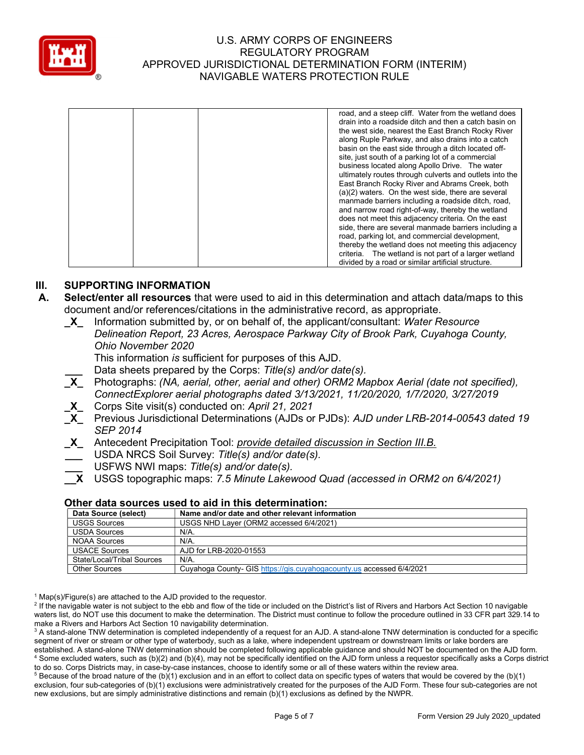

|  | road, and a steep cliff. Water from the wetland does    |
|--|---------------------------------------------------------|
|  | drain into a roadside ditch and then a catch basin on   |
|  | the west side, nearest the East Branch Rocky River      |
|  | along Ruple Parkway, and also drains into a catch       |
|  | basin on the east side through a ditch located off-     |
|  | site, just south of a parking lot of a commercial       |
|  | business located along Apollo Drive. The water          |
|  | ultimately routes through culverts and outlets into the |
|  | East Branch Rocky River and Abrams Creek, both          |
|  | (a)(2) waters. On the west side, there are several      |
|  | manmade barriers including a roadside ditch, road,      |
|  | and narrow road right-of-way, thereby the wetland       |
|  | does not meet this adjacency criteria. On the east      |
|  | side, there are several manmade barriers including a    |
|  | road, parking lot, and commercial development,          |
|  | thereby the wetland does not meeting this adjacency     |
|  | criteria. The wetland is not part of a larger wetland   |
|  | divided by a road or similar artificial structure.      |

## III. SUPPORTING INFORMATION

- A. Select/enter all resources that were used to aid in this determination and attach data/maps to this document and/or references/citations in the administrative record, as appropriate.
	- $X$  Information submitted by, or on behalf of, the applicant/consultant: Water Resource Delineation Report, 23 Acres, Aerospace Parkway City of Brook Park, Cuyahoga County, Ohio November 2020

This information is sufficient for purposes of this AJD.

Data sheets prepared by the Corps: Title(s) and/or date(s).

- **X** Photographs: (NA, aerial, other, aerial and other) ORM2 Mapbox Aerial (date not specified), ConnectExplorer aerial photographs dated 3/13/2021, 11/20/2020, 1/7/2020, 3/27/2019
- \_X\_ Corps Site visit(s) conducted on: April 21, 2021

\_X\_ Previous Jurisdictional Determinations (AJDs or PJDs): AJD under LRB-2014-00543 dated 19 SEP 2014

- X Antecedent Precipitation Tool: *provide detailed discussion in Section III.B.*
- USDA NRCS Soil Survey: Title(s) and/or date(s).
- USFWS NWI maps: Title(s) and/or date(s).
- \_\_X USGS topographic maps: 7.5 Minute Lakewood Quad (accessed in ORM2 on 6/4/2021)

#### Other data sources used to aid in this determination:

| Data Source (select)       | Name and/or date and other relevant information                      |
|----------------------------|----------------------------------------------------------------------|
| <b>USGS Sources</b>        | USGS NHD Laver (ORM2 accessed 6/4/2021)                              |
| <b>USDA Sources</b>        | N/A.                                                                 |
| NOAA Sources               | N/A.                                                                 |
| <b>USACE Sources</b>       | AJD for LRB-2020-01553                                               |
| State/Local/Tribal Sources | N/A.                                                                 |
| <b>Other Sources</b>       | Cuyahoga County- GIS https://gis.cuyahogacounty.us accessed 6/4/2021 |

<sup>1</sup> Map(s)/Figure(s) are attached to the AJD provided to the requestor.

<sup>2</sup> If the navigable water is not subject to the ebb and flow of the tide or included on the District's list of Rivers and Harbors Act Section 10 navigable waters list, do NOT use this document to make the determination. The District must continue to follow the procedure outlined in 33 CFR part 329.14 to make a Rivers and Harbors Act Section 10 navigability determination.

 $^3$  A stand-alone TNW determination is completed independently of a request for an AJD. A stand-alone TNW determination is conducted for a specific segment of river or stream or other type of waterbody, such as a lake, where independent upstream or downstream limits or lake borders are established. A stand-alone TNW determination should be completed following applicable guidance and should NOT be documented on the AJD form. 4 Some excluded waters, such as (b)(2) and (b)(4), may not be specifically identified on the AJD form unless a requestor specifically asks a Corps district to do so. Corps Districts may, in case-by-case instances, choose to identify some or all of these waters within the review area.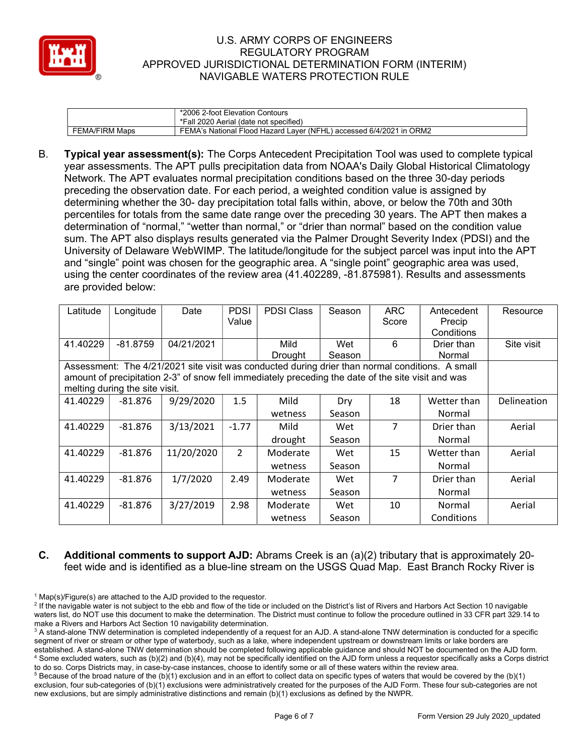

|                       | *2006 2-foot Elevation Contours<br>*Fall 2020 Aerial (date not specified)                    |
|-----------------------|----------------------------------------------------------------------------------------------|
| <b>FEMA/FIRM Maps</b> | d Laver (NFHL) accessed 6/4/2021 in  (<br>ORM <sub>2</sub><br>FEMA's National Flood Hazard ! |

B. Typical year assessment(s): The Corps Antecedent Precipitation Tool was used to complete typical year assessments. The APT pulls precipitation data from NOAA's Daily Global Historical Climatology Network. The APT evaluates normal precipitation conditions based on the three 30-day periods preceding the observation date. For each period, a weighted condition value is assigned by determining whether the 30- day precipitation total falls within, above, or below the 70th and 30th percentiles for totals from the same date range over the preceding 30 years. The APT then makes a determination of "normal," "wetter than normal," or "drier than normal" based on the condition value sum. The APT also displays results generated via the Palmer Drought Severity Index (PDSI) and the University of Delaware WebWIMP. The latitude/longitude for the subject parcel was input into the APT and "single" point was chosen for the geographic area. A "single point" geographic area was used, using the center coordinates of the review area (41.402289, -81.875981). Results and assessments are provided below:

| Latitude | Longitude                                                                                                                                                                                                                               | Date       | <b>PDSI</b><br>Value | <b>PDSI Class</b> | Season | <b>ARC</b><br>Score | Antecedent<br>Precip<br>Conditions | Resource    |  |
|----------|-----------------------------------------------------------------------------------------------------------------------------------------------------------------------------------------------------------------------------------------|------------|----------------------|-------------------|--------|---------------------|------------------------------------|-------------|--|
| 41.40229 | $-81.8759$                                                                                                                                                                                                                              | 04/21/2021 |                      | Mild              | Wet    | 6                   | Drier than                         | Site visit  |  |
|          |                                                                                                                                                                                                                                         |            |                      | Drought           | Season |                     | Normal                             |             |  |
|          | Assessment: The 4/21/2021 site visit was conducted during drier than normal conditions. A small<br>amount of precipitation 2-3" of snow fell immediately preceding the date of the site visit and was<br>melting during the site visit. |            |                      |                   |        |                     |                                    |             |  |
| 41.40229 | $-81.876$                                                                                                                                                                                                                               | 9/29/2020  | 1.5                  | Mild              | Dry    | 18                  | Wetter than                        | Delineation |  |
|          |                                                                                                                                                                                                                                         |            |                      | wetness           | Season |                     | Normal                             |             |  |
| 41.40229 | $-81.876$                                                                                                                                                                                                                               | 3/13/2021  | $-1.77$              | Mild              | Wet    | 7                   | Drier than                         | Aerial      |  |
|          |                                                                                                                                                                                                                                         |            |                      | drought           | Season |                     | Normal                             |             |  |
| 41.40229 | $-81.876$                                                                                                                                                                                                                               | 11/20/2020 | $\mathcal{P}$        | Moderate          | Wet    | 15                  | Wetter than                        | Aerial      |  |
|          |                                                                                                                                                                                                                                         |            |                      | wetness           | Season |                     | Normal                             |             |  |
| 41.40229 | $-81.876$                                                                                                                                                                                                                               | 1/7/2020   | 2.49                 | Moderate          | Wet    | 7                   | Drier than                         | Aerial      |  |
|          |                                                                                                                                                                                                                                         |            |                      | wetness           | Season |                     | Normal                             |             |  |
| 41.40229 | $-81.876$                                                                                                                                                                                                                               | 3/27/2019  | 2.98                 | Moderate          | Wet    | 10                  | Normal                             | Aerial      |  |
|          |                                                                                                                                                                                                                                         |            |                      | wetness           | Season |                     | Conditions                         |             |  |

## C. Additional comments to support AJD: Abrams Creek is an (a)(2) tributary that is approximately 20 feet wide and is identified as a blue-line stream on the USGS Quad Map. East Branch Rocky River is

<sup>&</sup>lt;sup>1</sup> Map(s)/Figure(s) are attached to the AJD provided to the requestor.

<sup>&</sup>lt;sup>2</sup> If the navigable water is not subject to the ebb and flow of the tide or included on the District's list of Rivers and Harbors Act Section 10 navigable waters list, do NOT use this document to make the determination. The District must continue to follow the procedure outlined in 33 CFR part 329.14 to make a Rivers and Harbors Act Section 10 navigability determination.

 $^3$  A stand-alone TNW determination is completed independently of a request for an AJD. A stand-alone TNW determination is conducted for a specific segment of river or stream or other type of waterbody, such as a lake, where independent upstream or downstream limits or lake borders are established. A stand-alone TNW determination should be completed following applicable guidance and should NOT be documented on the AJD form. 4 Some excluded waters, such as (b)(2) and (b)(4), may not be specifically identified on the AJD form unless a requestor specifically asks a Corps district to do so. Corps Districts may, in case-by-case instances, choose to identify some or all of these waters within the review area.

 $5$  Because of the broad nature of the (b)(1) exclusion and in an effort to collect data on specific types of waters that would be covered by the (b)(1) exclusion, four sub-categories of (b)(1) exclusions were administratively created for the purposes of the AJD Form. These four sub-categories are not new exclusions, but are simply administrative distinctions and remain (b)(1) exclusions as defined by the NWPR.